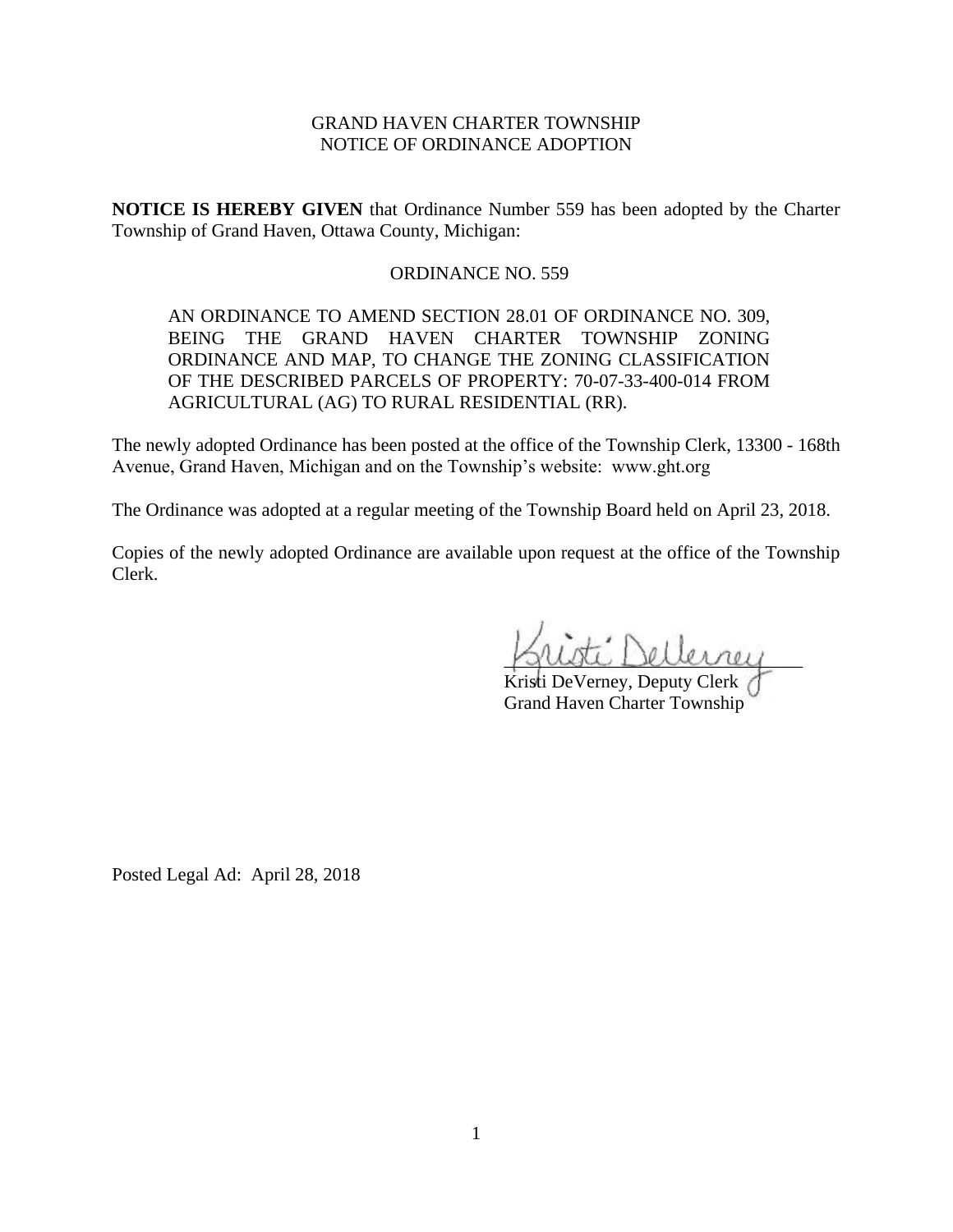# GRAND HAVEN CHARTER TOWNSHIP NOTICE OF ORDINANCE ADOPTION

**NOTICE IS HEREBY GIVEN** that Ordinance Number 559 has been adopted by the Charter Township of Grand Haven, Ottawa County, Michigan:

## ORDINANCE NO. 559

AN ORDINANCE TO AMEND SECTION 28.01 OF ORDINANCE NO. 309, BEING THE GRAND HAVEN CHARTER TOWNSHIP ZONING ORDINANCE AND MAP, TO CHANGE THE ZONING CLASSIFICATION OF THE DESCRIBED PARCELS OF PROPERTY: 70-07-33-400-014 FROM AGRICULTURAL (AG) TO RURAL RESIDENTIAL (RR).

The newly adopted Ordinance has been posted at the office of the Township Clerk, 13300 - 168th Avenue, Grand Haven, Michigan and on the Township's website: www.ght.org

The Ordinance was adopted at a regular meeting of the Township Board held on April 23, 2018.

Copies of the newly adopted Ordinance are available upon request at the office of the Township Clerk.

\_\_\_\_\_\_\_\_\_\_\_\_\_\_\_\_\_\_\_\_\_\_\_\_\_\_\_\_\_\_\_\_

Kristi DeVerney, Deputy Clerk Grand Haven Charter Township

Posted Legal Ad: April 28, 2018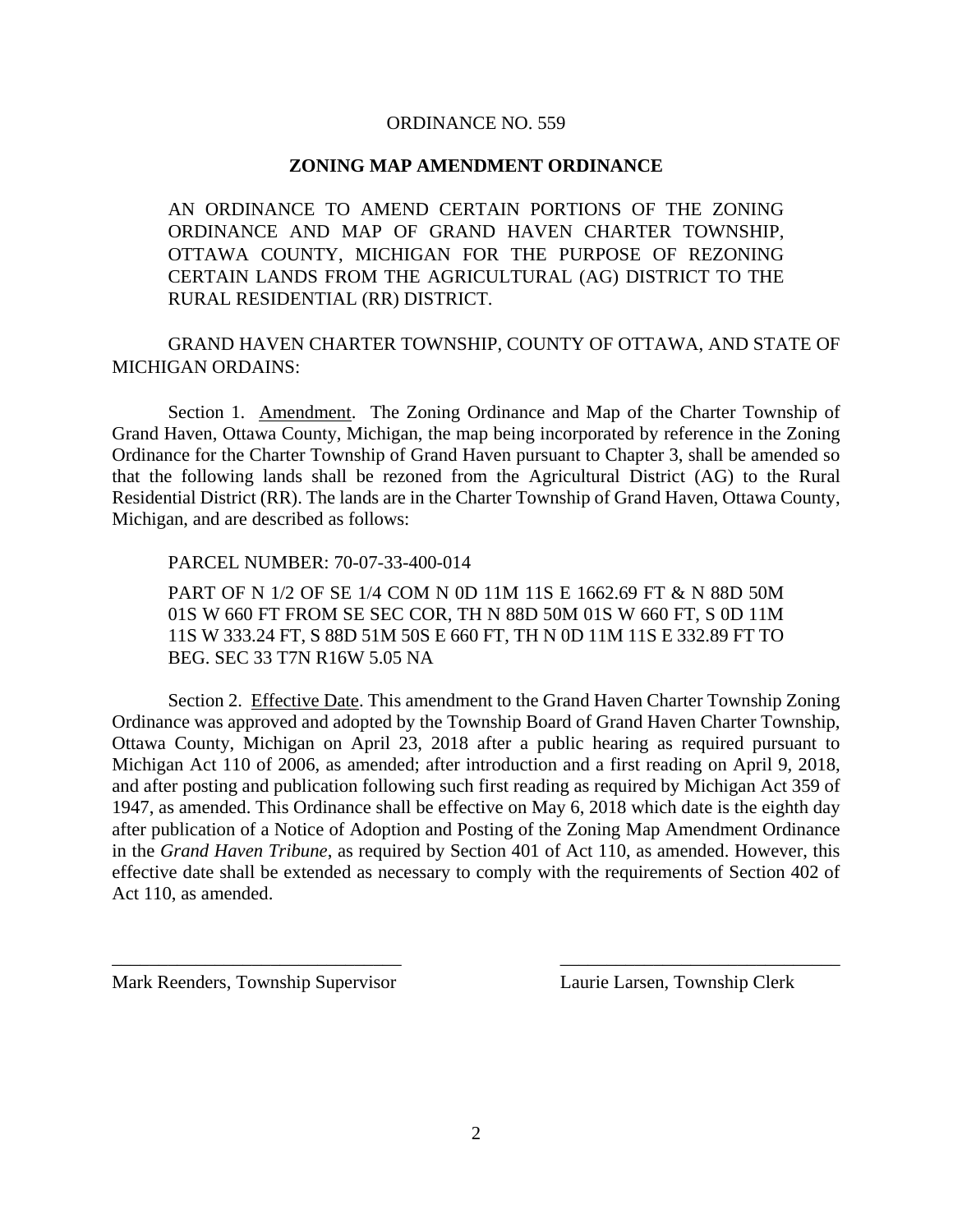### ORDINANCE NO. 559

### **ZONING MAP AMENDMENT ORDINANCE**

AN ORDINANCE TO AMEND CERTAIN PORTIONS OF THE ZONING ORDINANCE AND MAP OF GRAND HAVEN CHARTER TOWNSHIP, OTTAWA COUNTY, MICHIGAN FOR THE PURPOSE OF REZONING CERTAIN LANDS FROM THE AGRICULTURAL (AG) DISTRICT TO THE RURAL RESIDENTIAL (RR) DISTRICT.

GRAND HAVEN CHARTER TOWNSHIP, COUNTY OF OTTAWA, AND STATE OF MICHIGAN ORDAINS:

Section 1. Amendment. The Zoning Ordinance and Map of the Charter Township of Grand Haven, Ottawa County, Michigan, the map being incorporated by reference in the Zoning Ordinance for the Charter Township of Grand Haven pursuant to Chapter 3, shall be amended so that the following lands shall be rezoned from the Agricultural District (AG) to the Rural Residential District (RR). The lands are in the Charter Township of Grand Haven, Ottawa County, Michigan, and are described as follows:

PARCEL NUMBER: 70-07-33-400-014

PART OF N 1/2 OF SE 1/4 COM N 0D 11M 11S E 1662.69 FT & N 88D 50M 01S W 660 FT FROM SE SEC COR, TH N 88D 50M 01S W 660 FT, S 0D 11M 11S W 333.24 FT, S 88D 51M 50S E 660 FT, TH N 0D 11M 11S E 332.89 FT TO BEG. SEC 33 T7N R16W 5.05 NA

Section 2. Effective Date. This amendment to the Grand Haven Charter Township Zoning Ordinance was approved and adopted by the Township Board of Grand Haven Charter Township, Ottawa County, Michigan on April 23, 2018 after a public hearing as required pursuant to Michigan Act 110 of 2006, as amended; after introduction and a first reading on April 9, 2018, and after posting and publication following such first reading as required by Michigan Act 359 of 1947, as amended. This Ordinance shall be effective on May 6, 2018 which date is the eighth day after publication of a Notice of Adoption and Posting of the Zoning Map Amendment Ordinance in the *Grand Haven Tribune*, as required by Section 401 of Act 110, as amended. However, this effective date shall be extended as necessary to comply with the requirements of Section 402 of Act 110, as amended.

\_\_\_\_\_\_\_\_\_\_\_\_\_\_\_\_\_\_\_\_\_\_\_\_\_\_\_\_\_\_\_ \_\_\_\_\_\_\_\_\_\_\_\_\_\_\_\_\_\_\_\_\_\_\_\_\_\_\_\_\_\_

Mark Reenders, Township Supervisor Laurie Larsen, Township Clerk